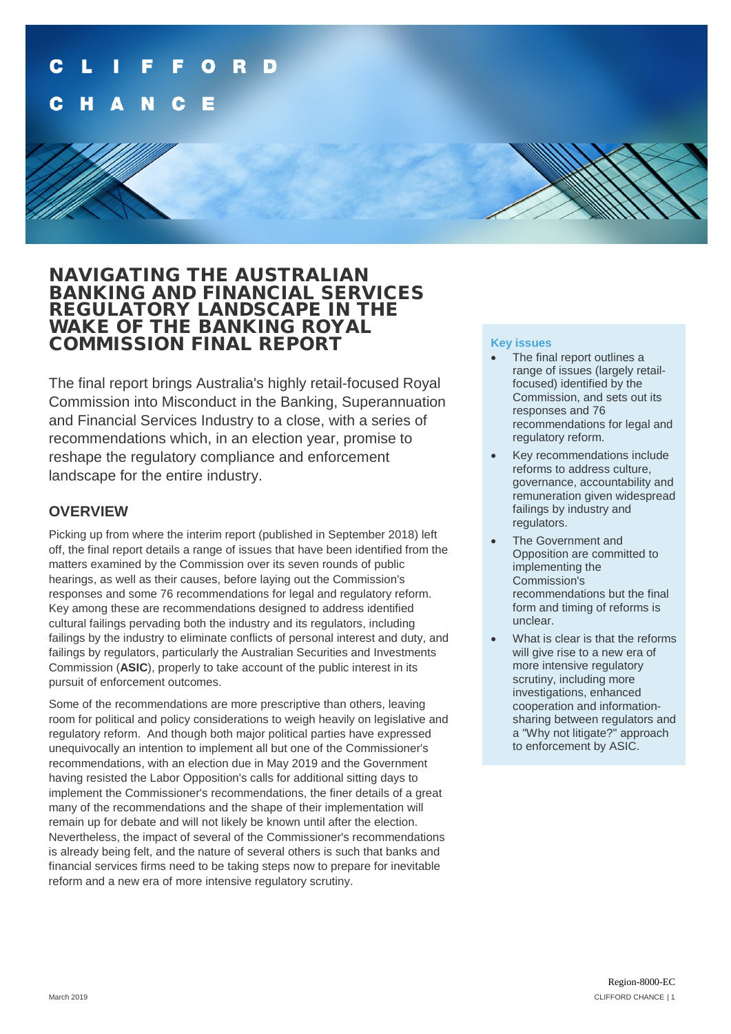## NAVIGATING THE AUSTRALIAN BANKING AND FINANCIAL SERVICES REGULATORY LANDSCAPE IN THE WAKE OF THE BANKING ROYAL COMMISSION FINAL REPORT

The final report brings Australia's highly retail-focused Royal Commission into Misconduct in the Banking, Superannuation and Financial Services Industry to a close, with a series of recommendations which, in an election year, promise to reshape the regulatory compliance and enforcement landscape for the entire industry.

## **OVERVIEW**

Picking up from where the interim report (published in September 2018) left off, the final report details a range of issues that have been identified from the matters examined by the Commission over its seven rounds of public hearings, as well as their causes, before laying out the Commission's responses and some 76 recommendations for legal and regulatory reform. Key among these are recommendations designed to address identified cultural failings pervading both the industry and its regulators, including failings by the industry to eliminate conflicts of personal interest and duty, and failings by regulators, particularly the Australian Securities and Investments Commission (**ASIC**), properly to take account of the public interest in its pursuit of enforcement outcomes.

Some of the recommendations are more prescriptive than others, leaving room for political and policy considerations to weigh heavily on legislative and regulatory reform. And though both major political parties have expressed unequivocally an intention to implement all but one of the Commissioner's recommendations, with an election due in May 2019 and the Government having resisted the Labor Opposition's calls for additional sitting days to implement the Commissioner's recommendations, the finer details of a great many of the recommendations and the shape of their implementation will remain up for debate and will not likely be known until after the election. Nevertheless, the impact of several of the Commissioner's recommendations is already being felt, and the nature of several others is such that banks and financial services firms need to be taking steps now to prepare for inevitable reform and a new era of more intensive regulatory scrutiny.

#### **Key issues**

- The final report outlines a range of issues (largely retailfocused) identified by the Commission, and sets out its responses and 76 recommendations for legal and regulatory reform.
- Key recommendations include reforms to address culture, governance, accountability and remuneration given widespread failings by industry and regulators.
- The Government and Opposition are committed to implementing the Commission's recommendations but the final form and timing of reforms is unclear.
- What is clear is that the reforms will give rise to a new era of more intensive regulatory scrutiny, including more investigations, enhanced cooperation and informationsharing between regulators and a "Why not litigate?" approach to enforcement by ASIC.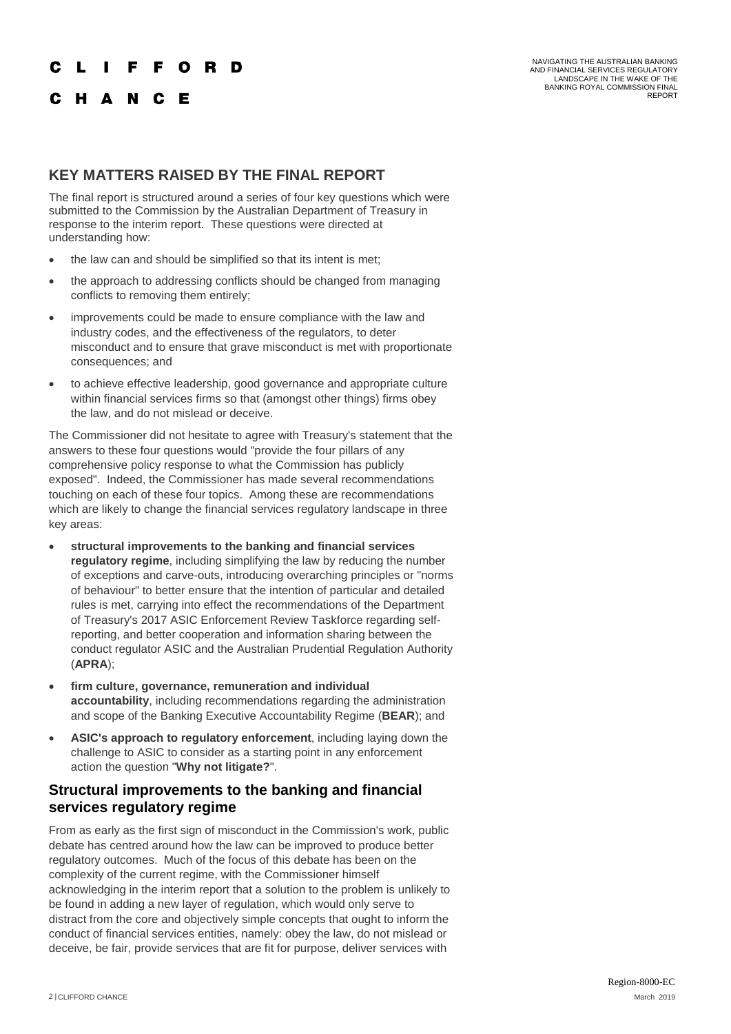#### F F O R D

#### C H A N C E

NAVIGATING THE AUSTRALIAN BANKING AND FINANCIAL SERVICES REGULATORY LANDSCAPE IN THE WAKE OF THE BANKING ROYAL COMMISSION FINAL REPORT

#### **KEY MATTERS RAISED BY THE FINAL REPORT**

The final report is structured around a series of four key questions which were submitted to the Commission by the Australian Department of Treasury in response to the interim report. These questions were directed at understanding how:

- the law can and should be simplified so that its intent is met;
- the approach to addressing conflicts should be changed from managing conflicts to removing them entirely;
- improvements could be made to ensure compliance with the law and industry codes, and the effectiveness of the regulators, to deter misconduct and to ensure that grave misconduct is met with proportionate consequences; and
- to achieve effective leadership, good governance and appropriate culture within financial services firms so that (amongst other things) firms obey the law, and do not mislead or deceive.

The Commissioner did not hesitate to agree with Treasury's statement that the answers to these four questions would "provide the four pillars of any comprehensive policy response to what the Commission has publicly exposed". Indeed, the Commissioner has made several recommendations touching on each of these four topics. Among these are recommendations which are likely to change the financial services regulatory landscape in three key areas:

- **structural improvements to the banking and financial services regulatory regime**, including simplifying the law by reducing the number of exceptions and carve-outs, introducing overarching principles or "norms of behaviour" to better ensure that the intention of particular and detailed rules is met, carrying into effect the recommendations of the Department of Treasury's 2017 ASIC Enforcement Review Taskforce regarding selfreporting, and better cooperation and information sharing between the conduct regulator ASIC and the Australian Prudential Regulation Authority (**APRA**);
- **firm culture, governance, remuneration and individual accountability**, including recommendations regarding the administration and scope of the Banking Executive Accountability Regime (**BEAR**); and
- **ASIC's approach to regulatory enforcement**, including laying down the challenge to ASIC to consider as a starting point in any enforcement action the question "**Why not litigate?**".

#### **Structural improvements to the banking and financial services regulatory regime**

From as early as the first sign of misconduct in the Commission's work, public debate has centred around how the law can be improved to produce better regulatory outcomes. Much of the focus of this debate has been on the complexity of the current regime, with the Commissioner himself acknowledging in the interim report that a solution to the problem is unlikely to be found in adding a new layer of regulation, which would only serve to distract from the core and objectively simple concepts that ought to inform the conduct of financial services entities, namely: obey the law, do not mislead or deceive, be fair, provide services that are fit for purpose, deliver services with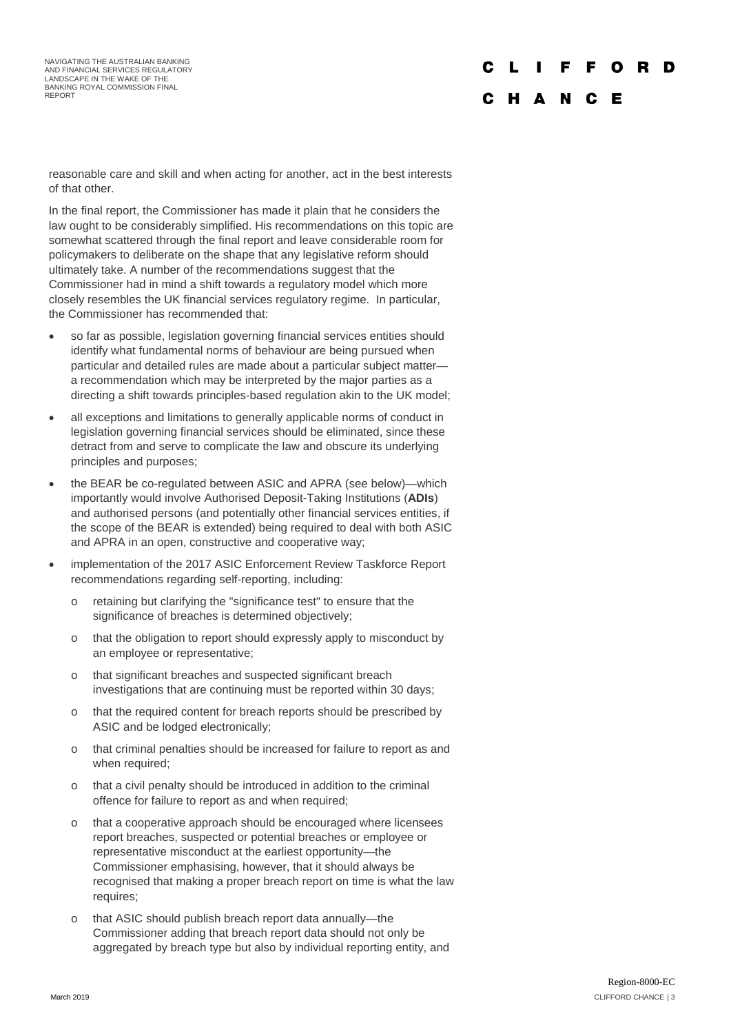NAVIGATING THE AUSTRALIAN BANKING AND FINANCIAL SERVICES REGULATORY LANDSCAPE IN THE WAKE OF THE BANKING ROYAL COMMISSION FINAL REPORT

# C H A N C E

reasonable care and skill and when acting for another, act in the best interests of that other.

In the final report, the Commissioner has made it plain that he considers the law ought to be considerably simplified. His recommendations on this topic are somewhat scattered through the final report and leave considerable room for policymakers to deliberate on the shape that any legislative reform should ultimately take. A number of the recommendations suggest that the Commissioner had in mind a shift towards a regulatory model which more closely resembles the UK financial services regulatory regime. In particular, the Commissioner has recommended that:

- so far as possible, legislation governing financial services entities should identify what fundamental norms of behaviour are being pursued when particular and detailed rules are made about a particular subject matter a recommendation which may be interpreted by the major parties as a directing a shift towards principles-based regulation akin to the UK model;
- all exceptions and limitations to generally applicable norms of conduct in legislation governing financial services should be eliminated, since these detract from and serve to complicate the law and obscure its underlying principles and purposes;
- the BEAR be co-regulated between ASIC and APRA (see below)—which importantly would involve Authorised Deposit-Taking Institutions (**ADIs**) and authorised persons (and potentially other financial services entities, if the scope of the BEAR is extended) being required to deal with both ASIC and APRA in an open, constructive and cooperative way;
- implementation of the 2017 ASIC Enforcement Review Taskforce Report recommendations regarding self-reporting, including:
	- o retaining but clarifying the "significance test" to ensure that the significance of breaches is determined objectively;
	- o that the obligation to report should expressly apply to misconduct by an employee or representative;
	- o that significant breaches and suspected significant breach investigations that are continuing must be reported within 30 days;
	- o that the required content for breach reports should be prescribed by ASIC and be lodged electronically;
	- o that criminal penalties should be increased for failure to report as and when required;
	- o that a civil penalty should be introduced in addition to the criminal offence for failure to report as and when required;
	- o that a cooperative approach should be encouraged where licensees report breaches, suspected or potential breaches or employee or representative misconduct at the earliest opportunity—the Commissioner emphasising, however, that it should always be recognised that making a proper breach report on time is what the law requires;
	- o that ASIC should publish breach report data annually—the Commissioner adding that breach report data should not only be aggregated by breach type but also by individual reporting entity, and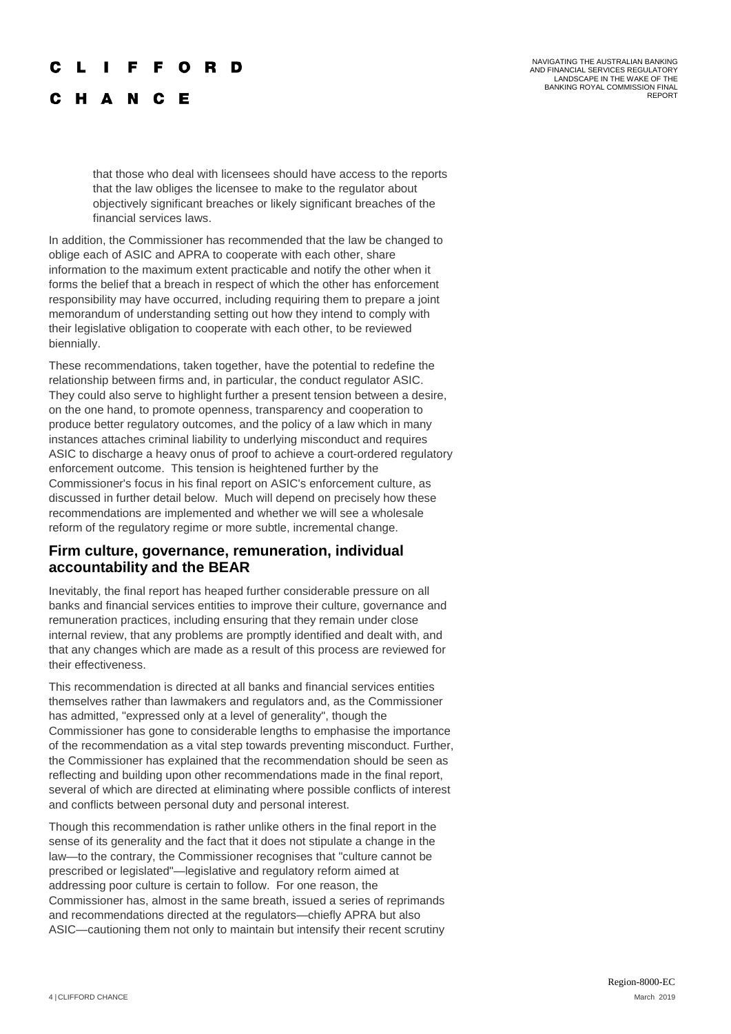#### F F . O R D

C H A N C E

NAVIGATING THE AUSTRALIAN BANKING AND FINANCIAL SERVICES REGULATORY LANDSCAPE IN THE WAKE OF THE BANKING ROYAL COMMISSION FINAL REPORT

that those who deal with licensees should have access to the reports that the law obliges the licensee to make to the regulator about objectively significant breaches or likely significant breaches of the financial services laws.

In addition, the Commissioner has recommended that the law be changed to oblige each of ASIC and APRA to cooperate with each other, share information to the maximum extent practicable and notify the other when it forms the belief that a breach in respect of which the other has enforcement responsibility may have occurred, including requiring them to prepare a joint memorandum of understanding setting out how they intend to comply with their legislative obligation to cooperate with each other, to be reviewed biennially.

These recommendations, taken together, have the potential to redefine the relationship between firms and, in particular, the conduct regulator ASIC. They could also serve to highlight further a present tension between a desire, on the one hand, to promote openness, transparency and cooperation to produce better regulatory outcomes, and the policy of a law which in many instances attaches criminal liability to underlying misconduct and requires ASIC to discharge a heavy onus of proof to achieve a court-ordered regulatory enforcement outcome. This tension is heightened further by the Commissioner's focus in his final report on ASIC's enforcement culture, as discussed in further detail below. Much will depend on precisely how these recommendations are implemented and whether we will see a wholesale reform of the regulatory regime or more subtle, incremental change.

#### **Firm culture, governance, remuneration, individual accountability and the BEAR**

Inevitably, the final report has heaped further considerable pressure on all banks and financial services entities to improve their culture, governance and remuneration practices, including ensuring that they remain under close internal review, that any problems are promptly identified and dealt with, and that any changes which are made as a result of this process are reviewed for their effectiveness.

This recommendation is directed at all banks and financial services entities themselves rather than lawmakers and regulators and, as the Commissioner has admitted, "expressed only at a level of generality", though the Commissioner has gone to considerable lengths to emphasise the importance of the recommendation as a vital step towards preventing misconduct. Further, the Commissioner has explained that the recommendation should be seen as reflecting and building upon other recommendations made in the final report, several of which are directed at eliminating where possible conflicts of interest and conflicts between personal duty and personal interest.

Though this recommendation is rather unlike others in the final report in the sense of its generality and the fact that it does not stipulate a change in the law—to the contrary, the Commissioner recognises that "culture cannot be prescribed or legislated"—legislative and regulatory reform aimed at addressing poor culture is certain to follow. For one reason, the Commissioner has, almost in the same breath, issued a series of reprimands and recommendations directed at the regulators—chiefly APRA but also ASIC—cautioning them not only to maintain but intensify their recent scrutiny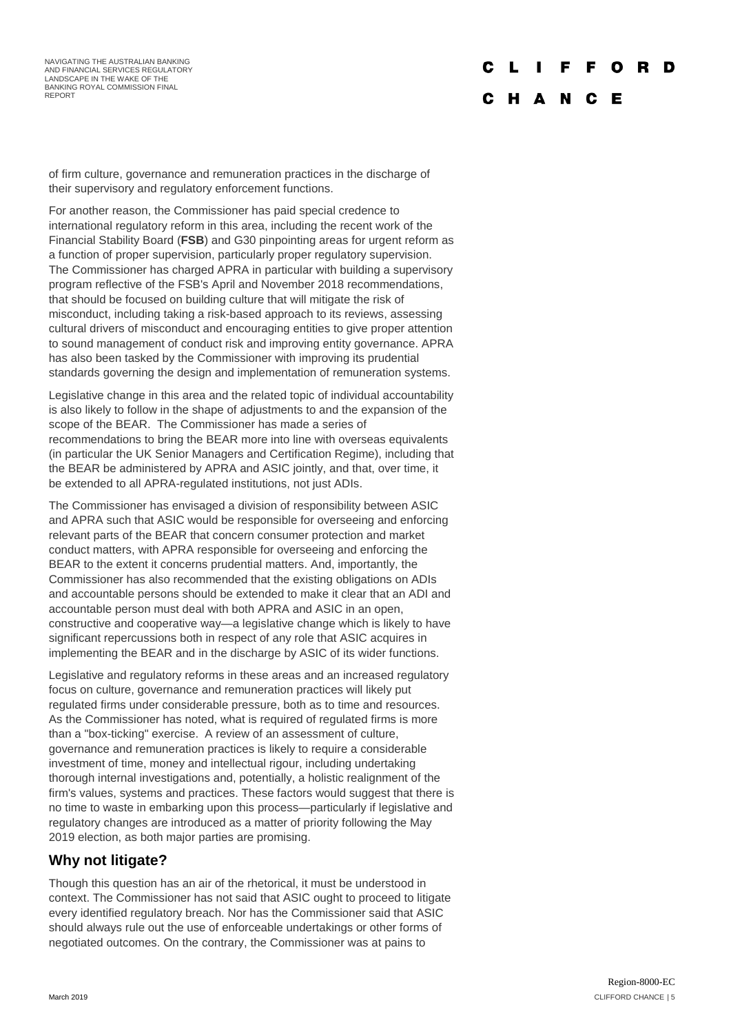# C

#### C H A N C E

of firm culture, governance and remuneration practices in the discharge of their supervisory and regulatory enforcement functions.

For another reason, the Commissioner has paid special credence to international regulatory reform in this area, including the recent work of the Financial Stability Board (**FSB**) and G30 pinpointing areas for urgent reform as a function of proper supervision, particularly proper regulatory supervision. The Commissioner has charged APRA in particular with building a supervisory program reflective of the FSB's April and November 2018 recommendations, that should be focused on building culture that will mitigate the risk of misconduct, including taking a risk-based approach to its reviews, assessing cultural drivers of misconduct and encouraging entities to give proper attention to sound management of conduct risk and improving entity governance. APRA has also been tasked by the Commissioner with improving its prudential standards governing the design and implementation of remuneration systems.

Legislative change in this area and the related topic of individual accountability is also likely to follow in the shape of adjustments to and the expansion of the scope of the BEAR. The Commissioner has made a series of recommendations to bring the BEAR more into line with overseas equivalents (in particular the UK Senior Managers and Certification Regime), including that the BEAR be administered by APRA and ASIC jointly, and that, over time, it be extended to all APRA-regulated institutions, not just ADIs.

The Commissioner has envisaged a division of responsibility between ASIC and APRA such that ASIC would be responsible for overseeing and enforcing relevant parts of the BEAR that concern consumer protection and market conduct matters, with APRA responsible for overseeing and enforcing the BEAR to the extent it concerns prudential matters. And, importantly, the Commissioner has also recommended that the existing obligations on ADIs and accountable persons should be extended to make it clear that an ADI and accountable person must deal with both APRA and ASIC in an open, constructive and cooperative way—a legislative change which is likely to have significant repercussions both in respect of any role that ASIC acquires in implementing the BEAR and in the discharge by ASIC of its wider functions.

Legislative and regulatory reforms in these areas and an increased regulatory focus on culture, governance and remuneration practices will likely put regulated firms under considerable pressure, both as to time and resources. As the Commissioner has noted, what is required of regulated firms is more than a "box-ticking" exercise. A review of an assessment of culture, governance and remuneration practices is likely to require a considerable investment of time, money and intellectual rigour, including undertaking thorough internal investigations and, potentially, a holistic realignment of the firm's values, systems and practices. These factors would suggest that there is no time to waste in embarking upon this process—particularly if legislative and regulatory changes are introduced as a matter of priority following the May 2019 election, as both major parties are promising.

## **Why not litigate?**

Though this question has an air of the rhetorical, it must be understood in context. The Commissioner has not said that ASIC ought to proceed to litigate every identified regulatory breach. Nor has the Commissioner said that ASIC should always rule out the use of enforceable undertakings or other forms of negotiated outcomes. On the contrary, the Commissioner was at pains to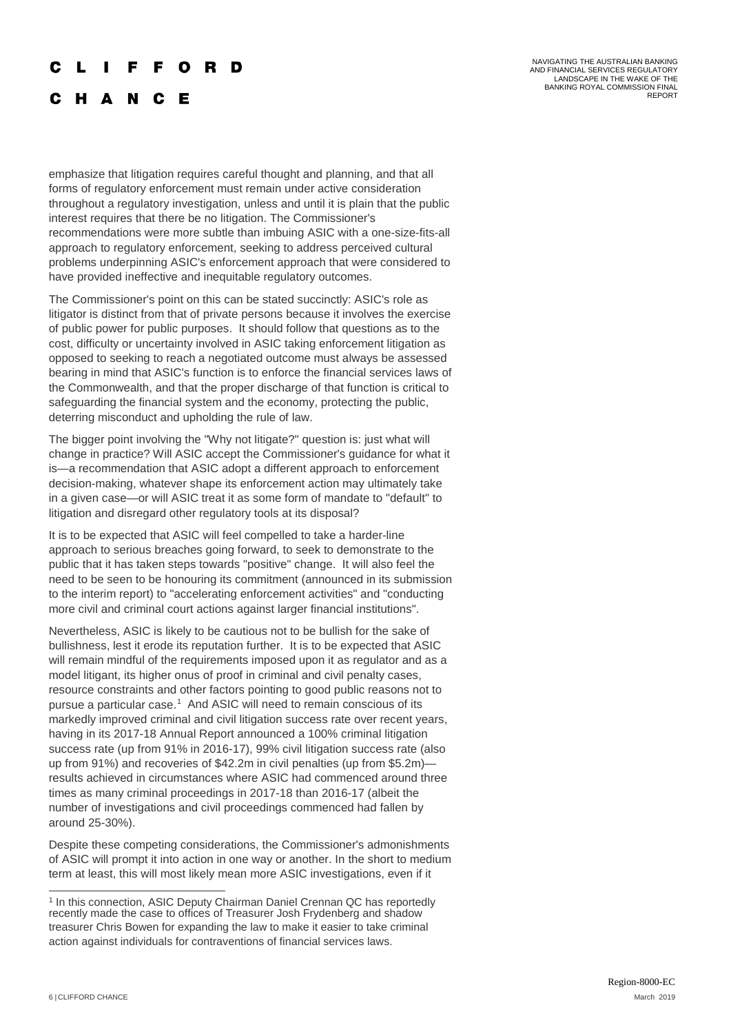#### F C **R**

C H A N C - E

NAVIGATING THE AUSTRALIAN BANKING AND FINANCIAL SERVICES REGULATORY LANDSCAPE IN THE WAKE OF THE BANKING ROYAL COMMISSION FINAL REPORT

emphasize that litigation requires careful thought and planning, and that all forms of regulatory enforcement must remain under active consideration throughout a regulatory investigation, unless and until it is plain that the public interest requires that there be no litigation. The Commissioner's recommendations were more subtle than imbuing ASIC with a one-size-fits-all approach to regulatory enforcement, seeking to address perceived cultural problems underpinning ASIC's enforcement approach that were considered to have provided ineffective and inequitable regulatory outcomes.

The Commissioner's point on this can be stated succinctly: ASIC's role as litigator is distinct from that of private persons because it involves the exercise of public power for public purposes. It should follow that questions as to the cost, difficulty or uncertainty involved in ASIC taking enforcement litigation as opposed to seeking to reach a negotiated outcome must always be assessed bearing in mind that ASIC's function is to enforce the financial services laws of the Commonwealth, and that the proper discharge of that function is critical to safeguarding the financial system and the economy, protecting the public, deterring misconduct and upholding the rule of law.

The bigger point involving the "Why not litigate?" question is: just what will change in practice? Will ASIC accept the Commissioner's guidance for what it is—a recommendation that ASIC adopt a different approach to enforcement decision-making, whatever shape its enforcement action may ultimately take in a given case—or will ASIC treat it as some form of mandate to "default" to litigation and disregard other regulatory tools at its disposal?

It is to be expected that ASIC will feel compelled to take a harder-line approach to serious breaches going forward, to seek to demonstrate to the public that it has taken steps towards "positive" change. It will also feel the need to be seen to be honouring its commitment (announced in its submission to the interim report) to "accelerating enforcement activities" and "conducting more civil and criminal court actions against larger financial institutions".

Nevertheless, ASIC is likely to be cautious not to be bullish for the sake of bullishness, lest it erode its reputation further. It is to be expected that ASIC will remain mindful of the requirements imposed upon it as regulator and as a model litigant, its higher onus of proof in criminal and civil penalty cases, resource constraints and other factors pointing to good public reasons not to pursue a particular case.<sup>[1](#page-5-0)</sup> And ASIC will need to remain conscious of its markedly improved criminal and civil litigation success rate over recent years, having in its 2017-18 Annual Report announced a 100% criminal litigation success rate (up from 91% in 2016-17), 99% civil litigation success rate (also up from 91%) and recoveries of \$42.2m in civil penalties (up from \$5.2m) results achieved in circumstances where ASIC had commenced around three times as many criminal proceedings in 2017-18 than 2016-17 (albeit the number of investigations and civil proceedings commenced had fallen by around 25-30%).

Despite these competing considerations, the Commissioner's admonishments of ASIC will prompt it into action in one way or another. In the short to medium term at least, this will most likely mean more ASIC investigations, even if it

<span id="page-5-0"></span><sup>&</sup>lt;sup>1</sup> In this connection, ASIC Deputy Chairman Daniel Crennan QC has reportedly recently made the case to offices of Treasurer Josh Frydenberg and shadow treasurer Chris Bowen for expanding the law to make it easier to take criminal action against individuals for contraventions of financial services laws.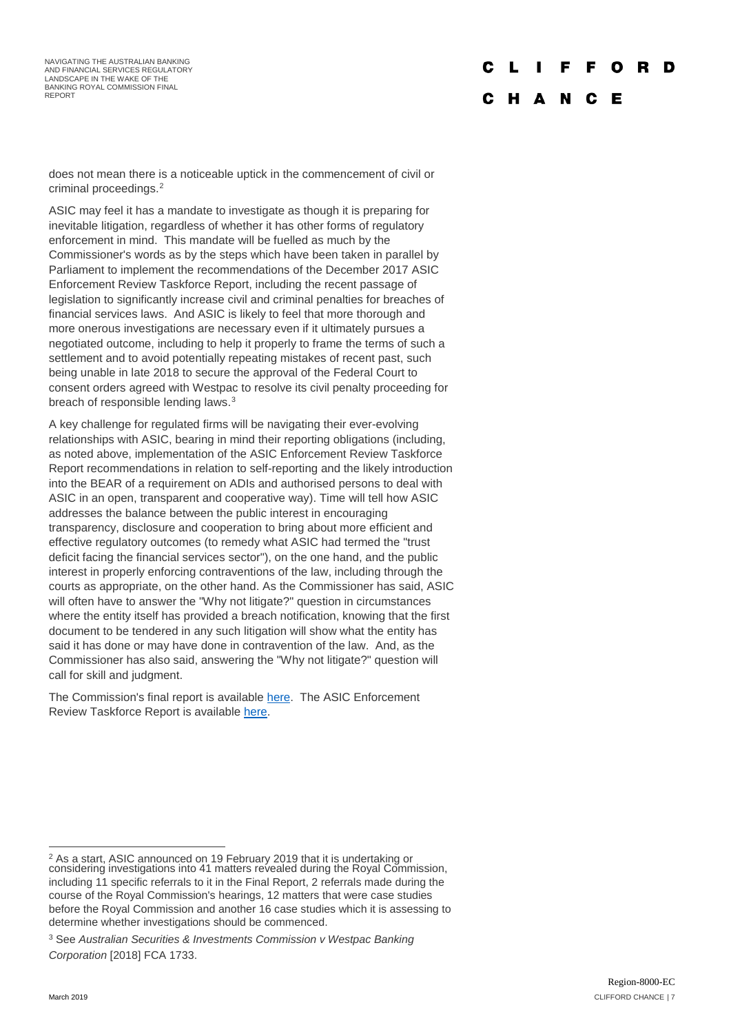NAVIGATING THE AUSTRALIAN BANKING AND FINANCIAL SERVICES REGULATORY LANDSCAPE IN THE WAKE OF THE BANKING ROYAL COMMISSION FINAL REPORT

#### D C

#### C H A N C E

does not mean there is a noticeable uptick in the commencement of civil or criminal proceedings.[2](#page-6-0)

ASIC may feel it has a mandate to investigate as though it is preparing for inevitable litigation, regardless of whether it has other forms of regulatory enforcement in mind. This mandate will be fuelled as much by the Commissioner's words as by the steps which have been taken in parallel by Parliament to implement the recommendations of the December 2017 ASIC Enforcement Review Taskforce Report, including the recent passage of legislation to significantly increase civil and criminal penalties for breaches of financial services laws. And ASIC is likely to feel that more thorough and more onerous investigations are necessary even if it ultimately pursues a negotiated outcome, including to help it properly to frame the terms of such a settlement and to avoid potentially repeating mistakes of recent past, such being unable in late 2018 to secure the approval of the Federal Court to consent orders agreed with Westpac to resolve its civil penalty proceeding for breach of responsible lending laws.<sup>[3](#page-6-1)</sup>

A key challenge for regulated firms will be navigating their ever-evolving relationships with ASIC, bearing in mind their reporting obligations (including, as noted above, implementation of the ASIC Enforcement Review Taskforce Report recommendations in relation to self-reporting and the likely introduction into the BEAR of a requirement on ADIs and authorised persons to deal with ASIC in an open, transparent and cooperative way). Time will tell how ASIC addresses the balance between the public interest in encouraging transparency, disclosure and cooperation to bring about more efficient and effective regulatory outcomes (to remedy what ASIC had termed the "trust deficit facing the financial services sector"), on the one hand, and the public interest in properly enforcing contraventions of the law, including through the courts as appropriate, on the other hand. As the Commissioner has said, ASIC will often have to answer the "Why not litigate?" question in circumstances where the entity itself has provided a breach notification, knowing that the first document to be tendered in any such litigation will show what the entity has said it has done or may have done in contravention of the law. And, as the Commissioner has also said, answering the "Why not litigate?" question will call for skill and judgment.

The Commission's final report is available [here.](https://financialservices.royalcommission.gov.au/Pages/reports.aspx) The ASIC Enforcement Review Taskforce Report is availabl[e here.](https://treasury.gov.au/review/asic-enforcement-review/r2018-282438/)

<span id="page-6-0"></span> $2$  As a start, ASIC announced on 19 February 2019 that it is undertaking or considering investigations into 41 matters revealed during the Royal Commission, including 11 specific referrals to it in the Final Report, 2 referrals made during the course of the Royal Commission's hearings, 12 matters that were case studies before the Royal Commission and another 16 case studies which it is assessing to determine whether investigations should be commenced.

<span id="page-6-1"></span><sup>3</sup> See *Australian Securities & Investments Commission v Westpac Banking Corporation* [2018] FCA 1733.